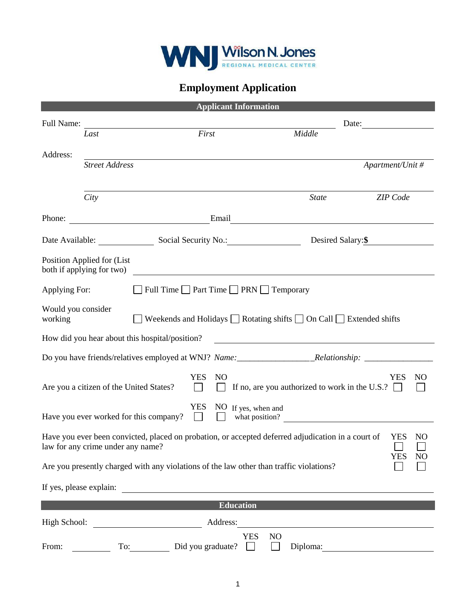

## **Employment Application**

|                               |                                                                                                                                         |                                                                                    | <b>Applicant Information</b>         |                |                                                                                                                                                                                                                               |                                                                                                                |  |
|-------------------------------|-----------------------------------------------------------------------------------------------------------------------------------------|------------------------------------------------------------------------------------|--------------------------------------|----------------|-------------------------------------------------------------------------------------------------------------------------------------------------------------------------------------------------------------------------------|----------------------------------------------------------------------------------------------------------------|--|
| Full Name:                    |                                                                                                                                         |                                                                                    |                                      | Date:          |                                                                                                                                                                                                                               |                                                                                                                |  |
|                               | Last                                                                                                                                    | First                                                                              |                                      |                | Middle                                                                                                                                                                                                                        |                                                                                                                |  |
| Address:                      |                                                                                                                                         |                                                                                    |                                      |                |                                                                                                                                                                                                                               |                                                                                                                |  |
|                               | <b>Street Address</b>                                                                                                                   |                                                                                    |                                      |                |                                                                                                                                                                                                                               | Apartment/Unit #                                                                                               |  |
|                               |                                                                                                                                         |                                                                                    |                                      |                |                                                                                                                                                                                                                               |                                                                                                                |  |
|                               | City                                                                                                                                    |                                                                                    |                                      |                | <b>State</b>                                                                                                                                                                                                                  | ZIP Code                                                                                                       |  |
| Phone:                        |                                                                                                                                         |                                                                                    |                                      |                | Email and the contract of the contract of the contract of the contract of the contract of the contract of the contract of the contract of the contract of the contract of the contract of the contract of the contract of the |                                                                                                                |  |
|                               |                                                                                                                                         |                                                                                    | Date Available: Social Security No.: |                | Desired Salary:\$                                                                                                                                                                                                             |                                                                                                                |  |
|                               | Position Applied for (List<br>both if applying for two)                                                                                 |                                                                                    |                                      |                |                                                                                                                                                                                                                               |                                                                                                                |  |
| Applying For:                 |                                                                                                                                         | $\Box$ Full Time $\Box$ Part Time $\Box$ PRN $\Box$ Temporary                      |                                      |                |                                                                                                                                                                                                                               |                                                                                                                |  |
| Would you consider<br>working |                                                                                                                                         | Weekends and Holidays $\Box$ Rotating shifts $\Box$ On Call $\Box$ Extended shifts |                                      |                |                                                                                                                                                                                                                               |                                                                                                                |  |
|                               | How did you hear about this hospital/position?                                                                                          |                                                                                    |                                      |                | <u> 1980 - Johann Barn, mars ann an t-Amhain Aonaich an t-Aonaich an t-Aonaich ann an t-Aonaich ann an t-Aonaich</u>                                                                                                          |                                                                                                                |  |
|                               |                                                                                                                                         |                                                                                    |                                      |                |                                                                                                                                                                                                                               | Do you have friends/relatives employed at WNJ? Name: ____________________________Relationship: _______________ |  |
|                               | Are you a citizen of the United States?                                                                                                 | <b>YES</b>                                                                         | NO                                   |                | If no, are you authorized to work in the U.S.? $\Box$                                                                                                                                                                         | <b>YES</b><br>NO                                                                                               |  |
|                               | Have you ever worked for this company?                                                                                                  | $\Box$                                                                             | YES NO If yes, when and              |                | what position?                                                                                                                                                                                                                |                                                                                                                |  |
|                               | Have you ever been convicted, placed on probation, or accepted deferred adjudication in a court of<br>law for any crime under any name? |                                                                                    |                                      |                |                                                                                                                                                                                                                               | <b>YES</b><br>NO<br><b>YES</b><br>N <sub>O</sub>                                                               |  |
|                               | Are you presently charged with any violations of the law other than traffic violations?                                                 |                                                                                    |                                      |                |                                                                                                                                                                                                                               |                                                                                                                |  |
| If yes, please explain:       |                                                                                                                                         | <u> 1989 - John Stein, Amerikaansk politiker (</u>                                 |                                      |                |                                                                                                                                                                                                                               |                                                                                                                |  |
|                               |                                                                                                                                         |                                                                                    | <b>Education</b>                     |                |                                                                                                                                                                                                                               |                                                                                                                |  |
| High School:                  |                                                                                                                                         |                                                                                    | Address:                             |                |                                                                                                                                                                                                                               |                                                                                                                |  |
| From:                         | To:                                                                                                                                     | Did you graduate?                                                                  | <b>YES</b>                           | N <sub>O</sub> | Diploma:                                                                                                                                                                                                                      |                                                                                                                |  |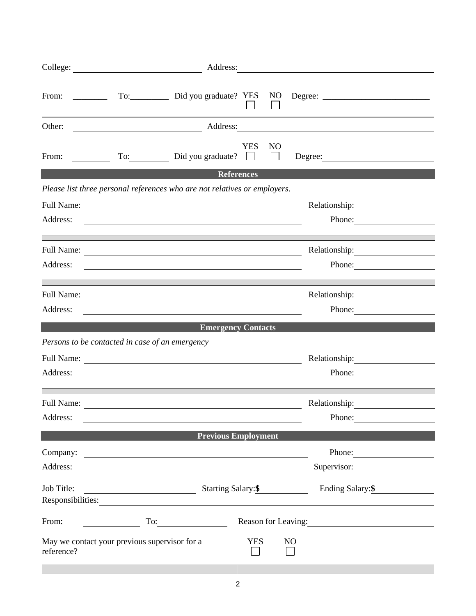| College:   | <u> 1980 - Johann Barn, mars ar breithinn ar chomhair an t-Alban ann an t-Alban ann an t-Alban ann an t-Alban an</u>                                                                                                     | Address:                   |                 |                                                                                                                                                                                                                                |  |  |  |
|------------|--------------------------------------------------------------------------------------------------------------------------------------------------------------------------------------------------------------------------|----------------------------|-----------------|--------------------------------------------------------------------------------------------------------------------------------------------------------------------------------------------------------------------------------|--|--|--|
| From:      | the control of the control of the control of the control of the control of                                                                                                                                               |                            |                 |                                                                                                                                                                                                                                |  |  |  |
| Other:     |                                                                                                                                                                                                                          |                            |                 | Address: Address: Address: Address: Address: Address: Address: Address: Address: Address: Address: Address: Address: Address: Address: Address: Address: Address: Address: Address: Address: Address: Address: Address: Addres |  |  |  |
| From:      | To: Did you graduate?                                                                                                                                                                                                    | <b>YES</b>                 | NO <sub>1</sub> | Degree:                                                                                                                                                                                                                        |  |  |  |
|            |                                                                                                                                                                                                                          | <b>References</b>          |                 |                                                                                                                                                                                                                                |  |  |  |
| Address:   | Please list three personal references who are not relatives or employers.<br>Relationship:<br>Phone:<br>and the control of the control of the control of the control of the control of the control of the control of the |                            |                 |                                                                                                                                                                                                                                |  |  |  |
| Address:   |                                                                                                                                                                                                                          |                            |                 | Phone: $\qquad \qquad$                                                                                                                                                                                                         |  |  |  |
|            |                                                                                                                                                                                                                          |                            |                 |                                                                                                                                                                                                                                |  |  |  |
| Address:   | <u> 1980 - Jan Barbara, martin da basar da basar da basar da basar da basar da basar da basar da basar</u>                                                                                                               |                            |                 | Phone:                                                                                                                                                                                                                         |  |  |  |
|            |                                                                                                                                                                                                                          | <b>Emergency Contacts</b>  |                 |                                                                                                                                                                                                                                |  |  |  |
|            | Persons to be contacted in case of an emergency                                                                                                                                                                          |                            |                 |                                                                                                                                                                                                                                |  |  |  |
|            | Relationship:                                                                                                                                                                                                            |                            |                 |                                                                                                                                                                                                                                |  |  |  |
| Address:   |                                                                                                                                                                                                                          |                            |                 | Phone:                                                                                                                                                                                                                         |  |  |  |
|            |                                                                                                                                                                                                                          |                            |                 |                                                                                                                                                                                                                                |  |  |  |
| Address:   |                                                                                                                                                                                                                          |                            |                 | Phone:                                                                                                                                                                                                                         |  |  |  |
|            |                                                                                                                                                                                                                          | <b>Previous Employment</b> |                 |                                                                                                                                                                                                                                |  |  |  |
| Company:   | <u> 1989 - Johann Stoff, deutscher Stoffen und der Stoffen und der Stoffen und der Stoffen und der Stoffen und der</u>                                                                                                   |                            |                 | Phone:                                                                                                                                                                                                                         |  |  |  |
| Address:   |                                                                                                                                                                                                                          |                            |                 | Supervisor:                                                                                                                                                                                                                    |  |  |  |
| Job Title: |                                                                                                                                                                                                                          | Starting Salary:\$         |                 | Ending Salary:\$                                                                                                                                                                                                               |  |  |  |
| From:      | $\Gamma$ o: $\qquad \qquad$                                                                                                                                                                                              |                            |                 |                                                                                                                                                                                                                                |  |  |  |
| reference? | May we contact your previous supervisor for a                                                                                                                                                                            |                            | <b>YES</b>      | N <sub>O</sub>                                                                                                                                                                                                                 |  |  |  |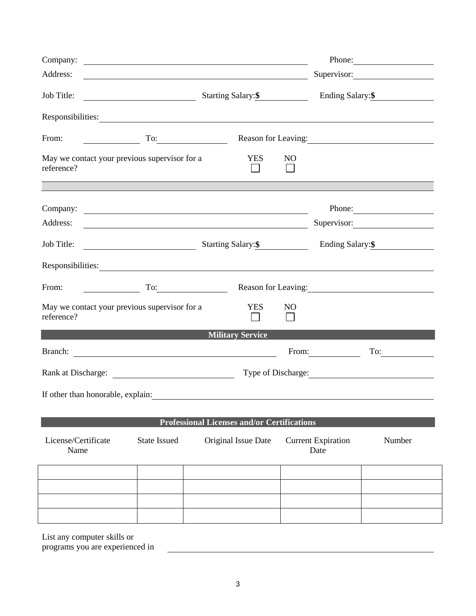| Company:                                                                                                                                                                                                                       | Phone: $\qquad \qquad$                                                                                                        |                                                    |                                                                                                                                      |                     |  |  |  |  |
|--------------------------------------------------------------------------------------------------------------------------------------------------------------------------------------------------------------------------------|-------------------------------------------------------------------------------------------------------------------------------|----------------------------------------------------|--------------------------------------------------------------------------------------------------------------------------------------|---------------------|--|--|--|--|
| Address:                                                                                                                                                                                                                       |                                                                                                                               |                                                    | Supervisor:<br><u> 1989 - Johann Stoff, deutscher Stoffen und der Stoffen und der Stoffen und der Stoffen und der Stoffen und de</u> |                     |  |  |  |  |
| Job Title:                                                                                                                                                                                                                     |                                                                                                                               | Starting Salary: \$                                |                                                                                                                                      | Ending Salary: \$   |  |  |  |  |
| Responsibilities: Network of the contract of the contract of the contract of the contract of the contract of the contract of the contract of the contract of the contract of the contract of the contract of the contract of t |                                                                                                                               |                                                    |                                                                                                                                      |                     |  |  |  |  |
| From:                                                                                                                                                                                                                          | To:                                                                                                                           |                                                    |                                                                                                                                      | Reason for Leaving: |  |  |  |  |
| May we contact your previous supervisor for a<br>reference?                                                                                                                                                                    |                                                                                                                               | <b>YES</b>                                         | N <sub>O</sub>                                                                                                                       |                     |  |  |  |  |
|                                                                                                                                                                                                                                |                                                                                                                               |                                                    |                                                                                                                                      |                     |  |  |  |  |
| Company:<br>Address:                                                                                                                                                                                                           |                                                                                                                               |                                                    | Phone:<br>Supervisor:                                                                                                                |                     |  |  |  |  |
| Job Title:                                                                                                                                                                                                                     |                                                                                                                               | Starting Salary: \$                                | Ending Salary: \$                                                                                                                    |                     |  |  |  |  |
| Responsibilities: Nesponsibilities:                                                                                                                                                                                            |                                                                                                                               |                                                    |                                                                                                                                      |                     |  |  |  |  |
| From:                                                                                                                                                                                                                          | $To: \begin{tabular}{ c c c } \hline \quad \quad & \quad \quad & \quad \quad \\ \hline \end{tabular}.$<br>Reason for Leaving: |                                                    |                                                                                                                                      |                     |  |  |  |  |
| May we contact your previous supervisor for a<br><b>YES</b><br>N <sub>O</sub><br>reference?                                                                                                                                    |                                                                                                                               |                                                    |                                                                                                                                      |                     |  |  |  |  |
|                                                                                                                                                                                                                                |                                                                                                                               | <b>Example 21 Military Service</b>                 |                                                                                                                                      |                     |  |  |  |  |
|                                                                                                                                                                                                                                |                                                                                                                               |                                                    | From:                                                                                                                                | $\Gamma$ o:         |  |  |  |  |
| Rank at Discharge:                                                                                                                                                                                                             |                                                                                                                               |                                                    |                                                                                                                                      |                     |  |  |  |  |
| If other than honorable, explain:                                                                                                                                                                                              |                                                                                                                               |                                                    |                                                                                                                                      |                     |  |  |  |  |
|                                                                                                                                                                                                                                |                                                                                                                               | <b>Professional Licenses and/or Certifications</b> |                                                                                                                                      |                     |  |  |  |  |
| License/Certificate<br>Name                                                                                                                                                                                                    | <b>State Issued</b>                                                                                                           | Original Issue Date                                | <b>Current Expiration</b><br>Date                                                                                                    | Number              |  |  |  |  |
|                                                                                                                                                                                                                                |                                                                                                                               |                                                    |                                                                                                                                      |                     |  |  |  |  |
|                                                                                                                                                                                                                                |                                                                                                                               |                                                    |                                                                                                                                      |                     |  |  |  |  |
|                                                                                                                                                                                                                                |                                                                                                                               |                                                    |                                                                                                                                      |                     |  |  |  |  |
|                                                                                                                                                                                                                                |                                                                                                                               |                                                    |                                                                                                                                      |                     |  |  |  |  |
| List any computer skills or                                                                                                                                                                                                    |                                                                                                                               |                                                    |                                                                                                                                      |                     |  |  |  |  |

programs you are experienced in